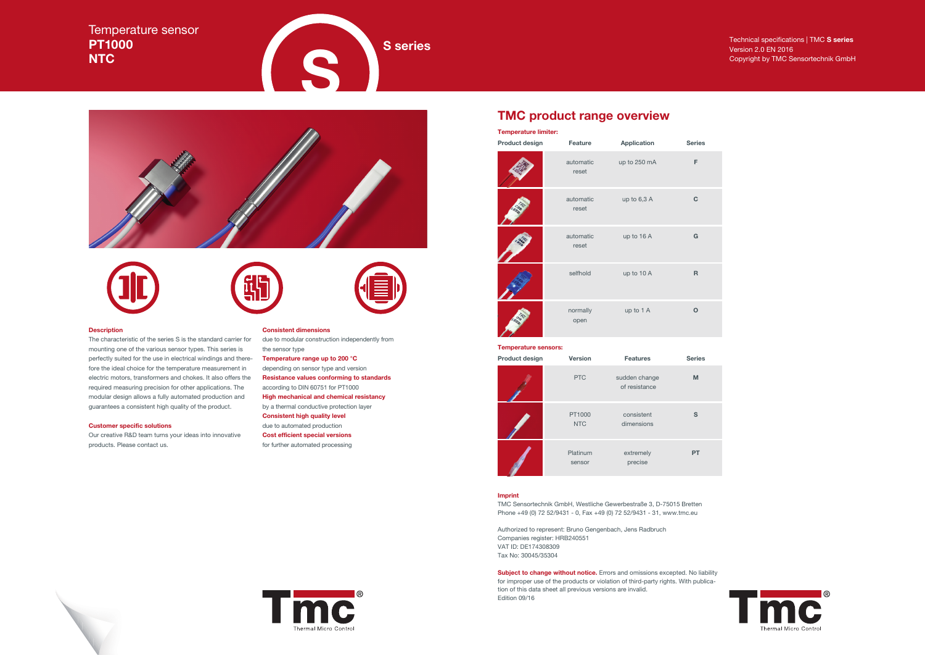### **Description**

The characteristic of the series S is the standard carrier for mounting one of the various sensor types. This series is perfectly suited for the use in electrical windings and therefore the ideal choice for the temperature measurement in electric motors, transformers and chokes. It also offers the required measuring precision for other applications. The modular design allows a fully automated production and guarantees a consistent high quality of the product.

### **Customer specific solutions**

Our creative R&D team turns your ideas into innovative products. Please contact us.

# Temperature sensor **PT1000 NTC**

**S** series<br> **S** series<br> **S** series<br> **S** series<br> **S** copyright by TMC Sensortechnik GmbH<br> **S** copyright by TMC Sensortechnik GmbH<br> **S** copyright by TMC Sensortechnik GmbH<br> **S** copyright by TMC Sensortechnik GmbH<br> **S** series











due to modular construction independently from the sensor type **Temperature range up to 200 °C** depending on sensor type and version **Resistance values conforming to standards** according to DIN 60751 for PT1000 **High mechanical and chemical resistancy** by a thermal conductive protection layer **Consistent high quality level** due to automated production **Cost efficient special versions** for further automated processing

# Version 2.0 EN 2016 Copyright by TMC Sensortechnik GmbH







# **TMC product range overview**

### **Temperature sensors:**

### **Imprint**

TMC Sensortechnik GmbH, Westliche Gewerbestraße 3, D-75015 Bretten Phone +49 (0) 72 52/9431 - 0, Fax +49 (0) 72 52/9431 - 31, www.tmc.eu

Authorized to represent: Bruno Gengenbach, Jens Radbruch Companies register: HRB240551 VAT ID: DE174308309 Tax No: 30045/35304

| <b>Temperature limiter:</b> |                    |               |               |
|-----------------------------|--------------------|---------------|---------------|
| Product design              | Feature            | Application   | <b>Series</b> |
|                             | automatic<br>reset | up to 250 mA  | F             |
|                             | automatic<br>reset | up to $6,3$ A |               |
|                             | automatic<br>reset | up to 16 A    | G             |
|                             | selfhold           | up to 10 A    | R             |
|                             | normally<br>open   | up to 1 A     |               |

**Subject to change without notice.** Errors and omissions excepted. No liability for improper use of the products or violation of third-party rights. With publication of this data sheet all previous versions are invalid. Edition 09/16





| <b>Product design</b> | <b>Version</b>       | <b>Features</b>                | <b>Series</b> |
|-----------------------|----------------------|--------------------------------|---------------|
|                       | <b>PTC</b>           | sudden change<br>of resistance | M             |
|                       | PT1000<br><b>NTC</b> | consistent<br>dimensions       | S             |
|                       | Platinum<br>sensor   | extremely<br>precise           | PТ            |